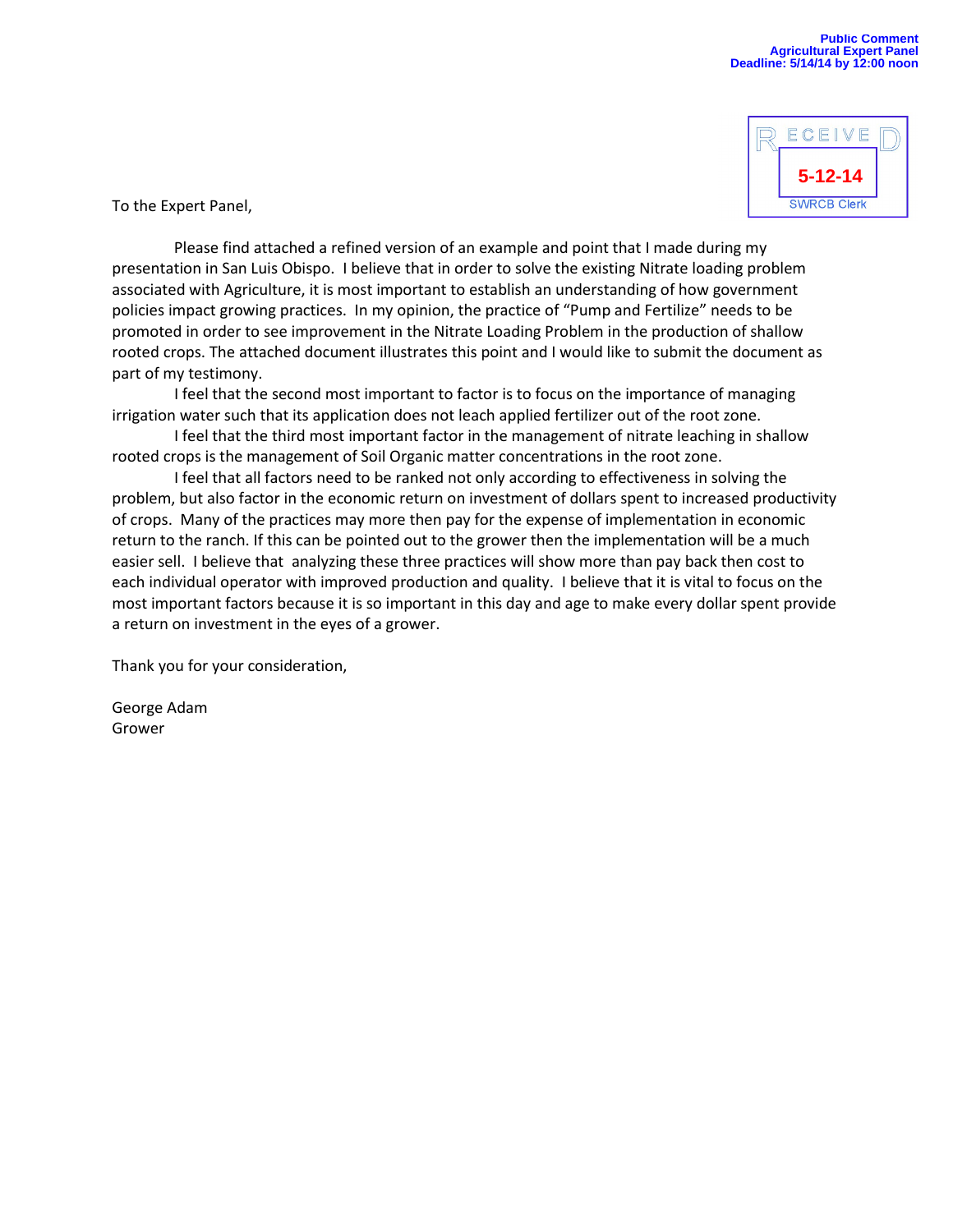

To the Expert Panel,

 Please find attached a refined version of an example and point that I made during my presentation in San Luis Obispo. I believe that in order to solve the existing Nitrate loading problem associated with Agriculture, it is most important to establish an understanding of how government policies impact growing practices. In my opinion, the practice of "Pump and Fertilize" needs to be promoted in order to see improvement in the Nitrate Loading Problem in the production of shallow rooted crops. The attached document illustrates this point and I would like to submit the document as part of my testimony.

 I feel that the second most important to factor is to focus on the importance of managing irrigation water such that its application does not leach applied fertilizer out of the root zone.

 I feel that the third most important factor in the management of nitrate leaching in shallow rooted crops is the management of Soil Organic matter concentrations in the root zone.

 I feel that all factors need to be ranked not only according to effectiveness in solving the problem, but also factor in the economic return on investment of dollars spent to increased productivity of crops. Many of the practices may more then pay for the expense of implementation in economic return to the ranch. If this can be pointed out to the grower then the implementation will be a much easier sell. I believe that analyzing these three practices will show more than pay back then cost to each individual operator with improved production and quality. I believe that it is vital to focus on the most important factors because it is so important in this day and age to make every dollar spent provide a return on investment in the eyes of a grower.

Thank you for your consideration,

George Adam Grower